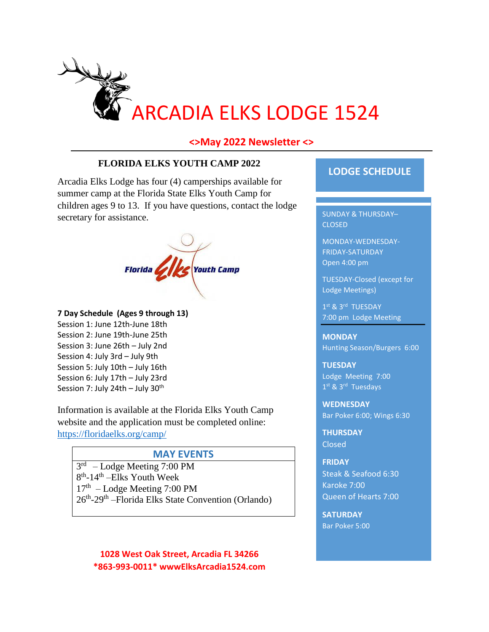

#### **<>May 2022 Newsletter <>**

#### **FLORIDA ELKS YOUTH CAMP 2022**

Arcadia Elks Lodge has four (4) camperships available for summer camp at the Florida State Elks Youth Camp for children ages 9 to 13. If you have questions, contact the lodge secretary for assistance.



**7 Day Schedule (Ages 9 through 13)** Session 1: June 12th-June 18th Session 2: June 19th-June 25th Session 3: June 26th – July 2nd Session 4: July 3rd – July 9th Session 5: July 10th – July 16th Session 6: July 17th – July 23rd Session 7: July 24th – July  $30<sup>th</sup>$ 

Information is available at the Florida Elks Youth Camp website and the application must be completed online: <https://floridaelks.org/camp/>

#### **MAY EVENTS**

3 rd – Lodge Meeting 7:00 PM 8<sup>th</sup>-14<sup>th</sup> – Elks Youth Week 17<sup>th</sup> - Lodge Meeting 7:00 PM 26<sup>th</sup>-29<sup>th</sup> – Florida Elks State Convention (Orlando)

**1028 West Oak Street, Arcadia FL 34266 \*863-993-0011\* wwwElksArcadia1524.com**

## **LODGE SCHEDULE**

SUNDAY & THURSDAY– CLOSED

MONDAY-WEDNESDAY-FRIDAY-SATURDAY Open 4:00 pm

TUESDAY-Closed (except for Lodge Meetings)

1st & 3rd TUESDAY 7:00 pm Lodge Meeting

**MONDAY** Hunting Season/Burgers 6:00

**TUESDAY** Lodge Meeting 7:00 1<sup>st</sup> & 3<sup>rd</sup> Tuesdays

**WEDNESDAY** Bar Poker 6:00; Wings 6:30

**THURSDAY** Closed

**FRIDAY** Steak & Seafood 6:30 Karoke 7:00 Queen of Hearts 7:00

**SATURDAY**  Bar Poker 5:00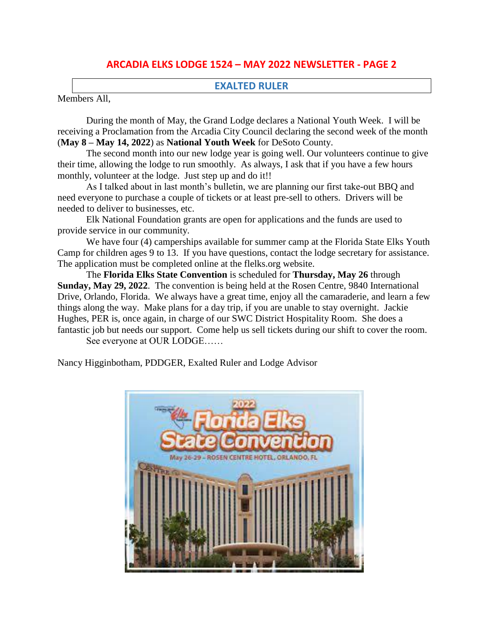# **ARCADIA ELKS LODGE 1524 – MAY 2022 NEWSLETTER - PAGE 2**

#### **EXALTED RULER**

Members All,

During the month of May, the Grand Lodge declares a National Youth Week. I will be receiving a Proclamation from the Arcadia City Council declaring the second week of the month (**May 8 – May 14, 2022**) as **National Youth Week** for DeSoto County.

The second month into our new lodge year is going well. Our volunteers continue to give their time, allowing the lodge to run smoothly. As always, I ask that if you have a few hours monthly, volunteer at the lodge. Just step up and do it!!

As I talked about in last month's bulletin, we are planning our first take-out BBQ and need everyone to purchase a couple of tickets or at least pre-sell to others. Drivers will be needed to deliver to businesses, etc.

Elk National Foundation grants are open for applications and the funds are used to provide service in our community.

We have four (4) camperships available for summer camp at the Florida State Elks Youth Camp for children ages 9 to 13. If you have questions, contact the lodge secretary for assistance. The application must be completed online at the flelks.org website.

The **Florida Elks State Convention** is scheduled for **Thursday, May 26** through **Sunday, May 29, 2022**. The convention is being held at the Rosen Centre, 9840 International Drive, Orlando, Florida. We always have a great time, enjoy all the camaraderie, and learn a few things along the way. Make plans for a day trip, if you are unable to stay overnight. Jackie Hughes, PER is, once again, in charge of our SWC District Hospitality Room. She does a fantastic job but needs our support. Come help us sell tickets during our shift to cover the room.

See everyone at OUR LODGE……

Nancy Higginbotham, PDDGER, Exalted Ruler and Lodge Advisor

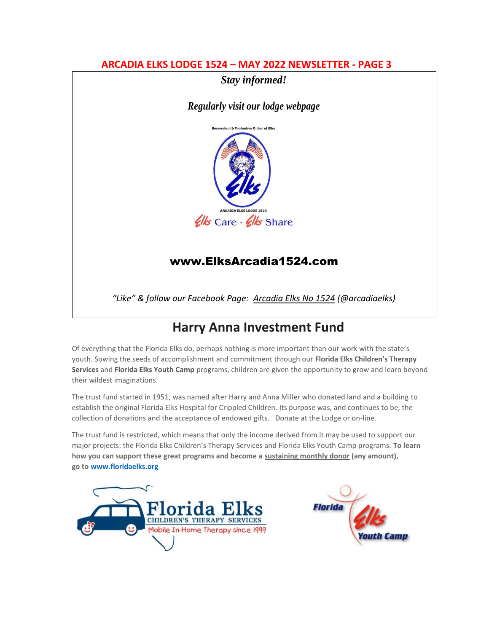## **ARCADIA ELKS LODGE 1524 – MAY 2022 NEWSLETTER - PAGE 3**



*Regularly visit our lodge webpage*



# [www.ElksArcadia1524.com](http://www.elksarcadia1524.com/)

*"Like" & follow our Facebook Page: Arcadia Elks No 1524 (@arcadiaelks)*

# **Harry Anna Investment Fund**

Of everything that the Florida Elks do, perhaps nothing is more important than our work with the state's youth. Sowing the seeds of accomplishment and commitment through our **Florida Elks Children's Therapy Services** and **Florida Elks Youth Camp** programs, children are given the opportunity to grow and learn beyond their wildest imaginations.

The trust fund started in 1951, was named after Harry and Anna Miller who donated land and a building to establish the original Florida Elks Hospital for Crippled Children. Its purpose was, and continues to be, the collection of donations and the acceptance of endowed gifts. Donate at the Lodge or on-line.

The trust fund is restricted, which means that only the income derived from it may be used to support our major projects: the Florida Elks Children's Therapy Services and Florida Elks Youth Camp programs. **To learn how you can support these great programs and become a sustaining monthly donor (any amount), go to [www.floridaelks.org](http://www.floridaelks.org/)**